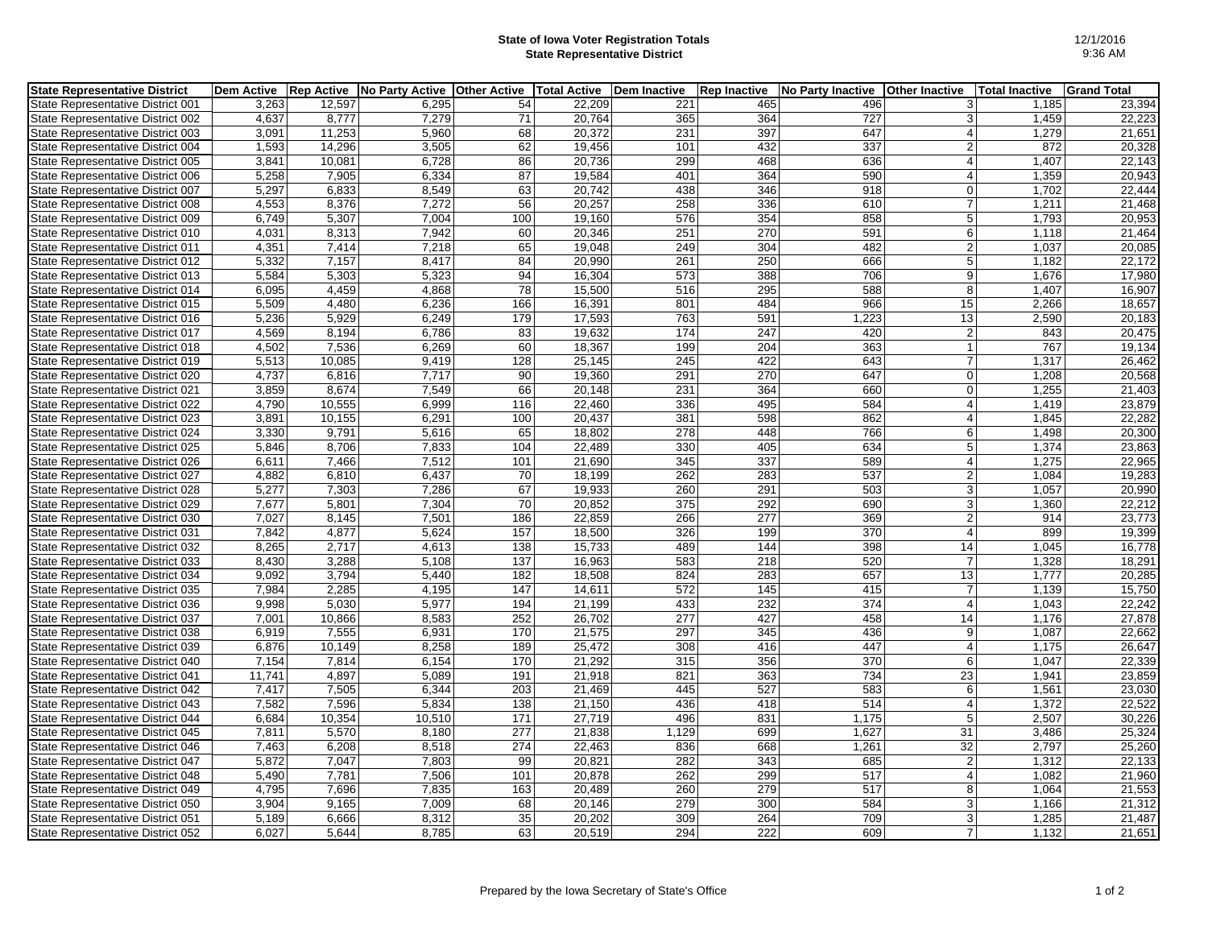## **State of Iowa Voter Registration Totals State Representative District**

| <b>State Representative District</b> | <b>Dem Active</b> |        | Rep Active   No Party Active   Other Active   Total Active   Dem Inactive |     |        |       | <b>Rep Inactive</b> | No Party Inactive   Other Inactive |                         | Total Inactive | <b>Grand Total</b> |
|--------------------------------------|-------------------|--------|---------------------------------------------------------------------------|-----|--------|-------|---------------------|------------------------------------|-------------------------|----------------|--------------------|
| State Representative District 001    | 3,263             | 12,597 | 6,295                                                                     | 54  | 22,209 | 221   | 465                 | 496                                | 3                       | 1,185          | 23,394             |
| State Representative District 002    | 4,637             | 8,777  | 7,279                                                                     | 71  | 20,764 | 365   | 364                 | 727                                | 3                       | 1,459          | 22,223             |
| State Representative District 003    | 3.091             | 11.253 | 5,960                                                                     | 68  | 20.372 | 231   | 397                 | 647                                | 4                       | 1.279          | 21,651             |
| State Representative District 004    | 1,593             | 14,296 | 3,505                                                                     | 62  | 19,456 | 101   | 432                 | 337                                | $\overline{2}$          | 872            | 20,328             |
| State Representative District 005    | 3.841             | 10,081 | 6,728                                                                     | 86  | 20,736 | 299   | 468                 | 636                                | $\vert$                 | 1,407          | 22,143             |
| State Representative District 006    | 5,258             | 7,905  | 6,334                                                                     | 87  | 19,584 | 401   | 364                 | 590                                | $\overline{4}$          | 1,359          | 20,943             |
| State Representative District 007    | 5,297             | 6,833  | 8,549                                                                     | 63  | 20,742 | 438   | 346                 | 918                                | $\mathbf 0$             | 1,702          | 22,444             |
| State Representative District 008    | 4,553             | 8.376  | 7.272                                                                     | 56  | 20,257 | 258   | 336                 | 610                                | $\overline{7}$          | 1,211          | 21,468             |
| State Representative District 009    | 6,749             | 5,307  | 7,004                                                                     | 100 | 19,160 | 576   | 354                 | 858                                | 5 <sup>5</sup>          | 1,793          | 20,953             |
| State Representative District 010    | 4,031             | 8,313  | 7,942                                                                     | 60  | 20,346 | 251   | 270                 | 591                                | 6                       | 1,118          | 21,464             |
| State Representative District 011    | 4,351             | 7,414  | 7,218                                                                     | 65  | 19,048 | 249   | 304                 | 482                                | $\vert$ 2               | 1,037          | 20,085             |
| State Representative District 012    | 5,332             | 7,157  | 8,417                                                                     | 84  | 20,990 | 261   | 250                 | 666                                | 5 <sup>5</sup>          | 1,182          | 22,172             |
| State Representative District 013    | 5,584             | 5,303  | 5,323                                                                     | 94  | 16,304 | 573   | 388                 | 706                                | $\vert 9 \vert$         | 1,676          | 17,980             |
| State Representative District 014    | 6,095             | 4,459  | 4,868                                                                     | 78  | 15,500 | 516   | 295                 | 588                                | 8 <sup>°</sup>          | 1,407          | 16,907             |
| State Representative District 015    | 5,509             | 4,480  | 6,236                                                                     | 166 | 16,391 | 801   | 484                 | 966                                | 15                      | 2,266          | 18,657             |
| State Representative District 016    | 5,236             | 5,929  | 6,249                                                                     | 179 | 17,593 | 763   | 591                 | 1,223                              | 13                      | 2,590          | 20,183             |
| State Representative District 017    | 4,569             | 8,194  | 6,786                                                                     | 83  | 19,632 | 174   | 247                 | 420                                | $\vert$ 2               | 843            | 20,475             |
| State Representative District 018    | 4,502             | 7,536  | 6,269                                                                     | 60  | 18,367 | 199   | 204                 | 363                                | $\overline{1}$          | 767            | 19,134             |
| State Representative District 019    | 5,513             | 10,085 | 9.419                                                                     | 128 | 25,145 | 245   | 422                 | 643                                | $\overline{7}$          | 1,317          | 26,462             |
| State Representative District 020    | 4,737             | 6,816  | 7,717                                                                     | 90  | 19,360 | 291   | 270                 | 647                                | $\overline{0}$          | 1,208          | 20,568             |
| State Representative District 021    | 3,859             | 8,674  | 7,549                                                                     | 66  | 20,148 | 231   | 364                 | 660                                | $\mathbf 0$             | 1,255          | 21,403             |
| State Representative District 022    | 4.790             | 10,555 | 6.999                                                                     | 116 | 22.460 | 336   | 495                 | 584                                | 4                       | 1,419          | 23,879             |
| State Representative District 023    | 3,891             | 10,155 | 6,291                                                                     | 100 | 20,437 | 381   | 598                 | 862                                | 4                       | 1,845          | 22,282             |
| State Representative District 024    | 3,330             | 9,791  | 5,616                                                                     | 65  | 18,802 | 278   | 448                 | 766                                | 6                       | 1,498          | 20,300             |
| State Representative District 025    | 5,846             | 8,706  | 7,833                                                                     | 104 | 22,489 | 330   | 405                 | 634                                | $\,$ 5 $\,$             | 1,374          | 23,863             |
| State Representative District 026    | 6,611             | 7,466  | 7,512                                                                     | 101 | 21,690 | 345   | 337                 | 589                                | $\overline{4}$          | 1,275          | 22,965             |
| State Representative District 027    | 4,882             | 6,810  | 6,437                                                                     | 70  | 18,199 | 262   | 283                 | 537                                | $\overline{2}$          | 1,084          | 19,283             |
| State Representative District 028    | 5,277             | 7,303  | 7,286                                                                     | 67  | 19,933 | 260   | 291                 | 503                                | $\lvert 3 \rvert$       | 1,057          | 20,990             |
| State Representative District 029    | 7,677             | 5,801  | 7,304                                                                     | 70  | 20,852 | 375   | 292                 | 690                                | 3                       | 1,360          | 22,212             |
| State Representative District 030    | 7,027             | 8,145  | 7,501                                                                     | 186 | 22,859 | 266   | 277                 | 369                                | $\overline{2}$          | 914            | 23,773             |
| State Representative District 031    | 7,842             | 4,877  | 5,624                                                                     | 157 | 18,500 | 326   | 199                 | 370                                | $\overline{4}$          | 899            | 19,399             |
| State Representative District 032    | 8,265             | 2,717  | 4,613                                                                     | 138 | 15,733 | 489   | 144                 | 398                                | 14                      | 1,045          | 16,778             |
| State Representative District 033    | 8,430             | 3,288  | 5,108                                                                     | 137 | 16,963 | 583   | 218                 | 520                                | $\overline{7}$          | 1,328          | 18,291             |
| State Representative District 034    | 9,092             | 3,794  | 5,440                                                                     | 182 | 18,508 | 824   | 283                 | 657                                | 13                      | 1,777          | 20,285             |
| State Representative District 035    | 7,984             | 2,285  | 4,195                                                                     | 147 | 14,611 | 572   | 145                 | 415                                | $\overline{7}$          | 1,139          | 15,750             |
| State Representative District 036    | 9,998             | 5,030  | 5,977                                                                     | 194 | 21,199 | 433   | 232                 | 374                                | $\overline{\mathbf{4}}$ | 1,043          | 22,242             |
| State Representative District 037    | 7,001             | 10,866 | 8,583                                                                     | 252 | 26,702 | 277   | 427                 | 458                                | 14                      | 1,176          | 27,878             |
| State Representative District 038    | 6.919             | 7,555  | 6,931                                                                     | 170 | 21,575 | 297   | 345                 | 436                                | 9                       | 1,087          | 22,662             |
| State Representative District 039    | 6,876             | 10,149 | 8,258                                                                     | 189 | 25,472 | 308   | 416                 | 447                                | $\vert$                 | 1,175          | 26,647             |
| State Representative District 040    | 7,154             | 7,814  | 6,154                                                                     | 170 | 21,292 | 315   | 356                 | $\overline{370}$                   | $6 \mid$                | 1,047          | 22,339             |
| State Representative District 041    | 11,741            | 4,897  | 5,089                                                                     | 191 | 21,918 | 821   | 363                 | 734                                | 23                      | 1,941          | 23,859             |
| State Representative District 042    | 7,417             | 7,505  | 6,344                                                                     | 203 | 21,469 | 445   | 527                 | 583                                | 6                       | 1,561          | 23,030             |
| State Representative District 043    | 7,582             | 7,596  | 5,834                                                                     | 138 | 21,150 | 436   | 418                 | 514                                | $\vert$                 | 1,372          | 22,522             |
| State Representative District 044    | 6,684             | 10,354 | 10,510                                                                    | 171 | 27,719 | 496   | 831                 | 1,175                              | 5 <sup>5</sup>          | 2,507          | 30,226             |
| State Representative District 045    | 7,811             | 5,570  | 8,180                                                                     | 277 | 21,838 | 1,129 | 699                 | 1,627                              | $\overline{31}$         | 3,486          | 25,324             |
| State Representative District 046    | 7,463             | 6,208  | 8,518                                                                     | 274 | 22,463 | 836   | 668                 | 1,261                              | 32                      | 2,797          | 25,260             |
| State Representative District 047    | 5,872             | 7,047  | 7,803                                                                     | 99  | 20,821 | 282   | 343                 | 685                                | $\vert$ 2               | 1,312          | 22,133             |
| State Representative District 048    | 5,490             | 7,781  | 7,506                                                                     | 101 | 20,878 | 262   | 299                 | 517                                | $\vert$                 | 1,082          | 21,960             |
| State Representative District 049    | 4,795             | 7,696  | 7,835                                                                     | 163 | 20,489 | 260   | 279                 | 517                                | 8                       | 1,064          | 21,553             |
| State Representative District 050    | 3,904             | 9,165  | 7,009                                                                     | 68  | 20,146 | 279   | 300                 | 584                                | $\mathbf{3}$            | 1,166          | 21,312             |
| State Representative District 051    | 5,189             | 6,666  | 8,312                                                                     | 35  | 20,202 | 309   | 264                 | 709                                | 3 <sup>1</sup>          | 1,285          | 21,487             |
| State Representative District 052    | 6,027             | 5,644  | 8,785                                                                     | 63  | 20,519 | 294   | 222                 | 609                                | $\overline{7}$          | 1,132          | 21,651             |